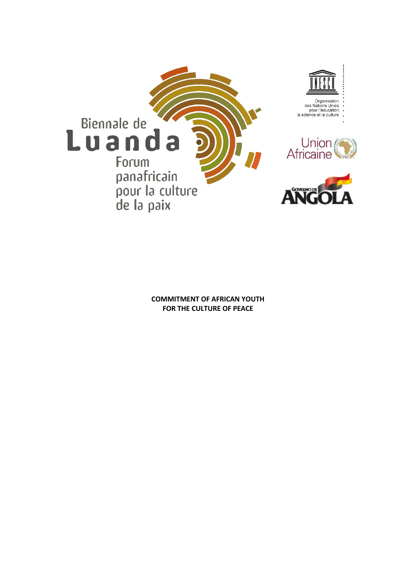

**COMMITMENT OF AFRICAN YOUTH FOR THE CULTURE OF PEACE**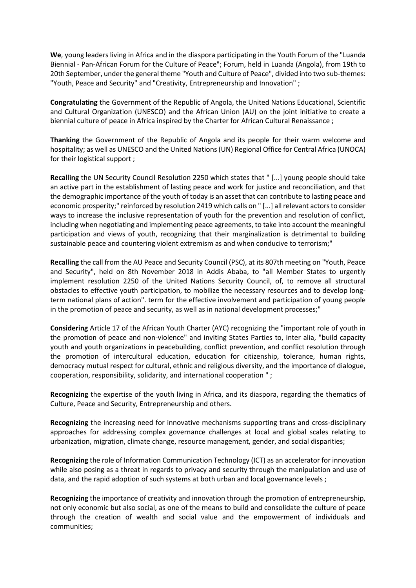**We**, young leaders living in Africa and in the diaspora participating in the Youth Forum of the "Luanda Biennial - Pan-African Forum for the Culture of Peace"; Forum, held in Luanda (Angola), from 19th to 20th September, under the general theme "Youth and Culture of Peace", divided into two sub-themes: "Youth, Peace and Security" and "Creativity, Entrepreneurship and Innovation" ;

**Congratulating** the Government of the Republic of Angola, the United Nations Educational, Scientific and Cultural Organization (UNESCO) and the African Union (AU) on the joint initiative to create a biennial culture of peace in Africa inspired by the Charter for African Cultural Renaissance ;

**Thanking** the Government of the Republic of Angola and its people for their warm welcome and hospitality; as well as UNESCO and the United Nations (UN) Regional Office for Central Africa (UNOCA) for their logistical support ;

**Recalling** the UN Security Council Resolution 2250 which states that " [...] young people should take an active part in the establishment of lasting peace and work for justice and reconciliation, and that the demographic importance of the youth of today is an asset that can contribute to lasting peace and economic prosperity;" reinforced by resolution 2419 which calls on " [...] all relevant actors to consider ways to increase the inclusive representation of youth for the prevention and resolution of conflict, including when negotiating and implementing peace agreements, to take into account the meaningful participation and views of youth, recognizing that their marginalization is detrimental to building sustainable peace and countering violent extremism as and when conducive to terrorism;"

**Recalling** the call from the AU Peace and Security Council (PSC), at its 807th meeting on "Youth, Peace and Security", held on 8th November 2018 in Addis Ababa, to "all Member States to urgently implement resolution 2250 of the United Nations Security Council, of, to remove all structural obstacles to effective youth participation, to mobilize the necessary resources and to develop longterm national plans of action". term for the effective involvement and participation of young people in the promotion of peace and security, as well as in national development processes;"

**Considering** Article 17 of the African Youth Charter (AYC) recognizing the "important role of youth in the promotion of peace and non-violence" and inviting States Parties to, inter alia, "build capacity youth and youth organizations in peacebuilding, conflict prevention, and conflict resolution through the promotion of intercultural education, education for citizenship, tolerance, human rights, democracy mutual respect for cultural, ethnic and religious diversity, and the importance of dialogue, cooperation, responsibility, solidarity, and international cooperation " ;

**Recognizing** the expertise of the youth living in Africa, and its diaspora, regarding the thematics of Culture, Peace and Security, Entrepreneurship and others.

**Recognizing** the increasing need for innovative mechanisms supporting trans and cross-disciplinary approaches for addressing complex governance challenges at local and global scales relating to urbanization, migration, climate change, resource management, gender, and social disparities;

**Recognizing** the role of Information Communication Technology (ICT) as an accelerator for innovation while also posing as a threat in regards to privacy and security through the manipulation and use of data, and the rapid adoption of such systems at both urban and local governance levels;

**Recognizing** the importance of creativity and innovation through the promotion of entrepreneurship, not only economic but also social, as one of the means to build and consolidate the culture of peace through the creation of wealth and social value and the empowerment of individuals and communities;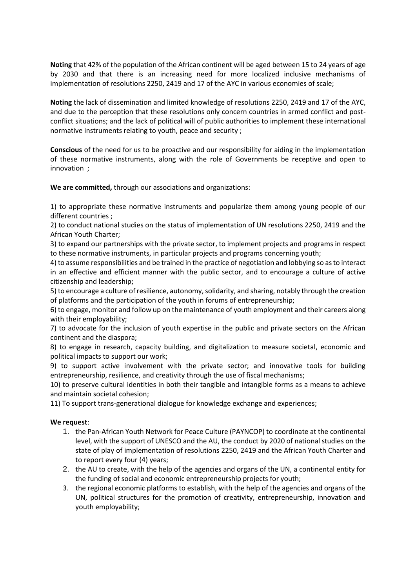**Noting** that 42% of the population of the African continent will be aged between 15 to 24 years of age by 2030 and that there is an increasing need for more localized inclusive mechanisms of implementation of resolutions 2250, 2419 and 17 of the AYC in various economies of scale;

**Noting** the lack of dissemination and limited knowledge of resolutions 2250, 2419 and 17 of the AYC, and due to the perception that these resolutions only concern countries in armed conflict and postconflict situations; and the lack of political will of public authorities to implement these international normative instruments relating to youth, peace and security ;

**Conscious** of the need for us to be proactive and our responsibility for aiding in the implementation of these normative instruments, along with the role of Governments be receptive and open to innovation ;

**We are committed,** through our associations and organizations:

1) to appropriate these normative instruments and popularize them among young people of our different countries ;

2) to conduct national studies on the status of implementation of UN resolutions 2250, 2419 and the African Youth Charter;

3) to expand our partnerships with the private sector, to implement projects and programs in respect to these normative instruments, in particular projects and programs concerning youth;

4) to assume responsibilities and be trained in the practice of negotiation and lobbying so as to interact in an effective and efficient manner with the public sector, and to encourage a culture of active citizenship and leadership;

5) to encourage a culture of resilience, autonomy, solidarity, and sharing, notably through the creation of platforms and the participation of the youth in forums of entrepreneurship;

6) to engage, monitor and follow up on the maintenance of youth employment and their careers along with their employability;

7) to advocate for the inclusion of youth expertise in the public and private sectors on the African continent and the diaspora;

8) to engage in research, capacity building, and digitalization to measure societal, economic and political impacts to support our work;

9) to support active involvement with the private sector; and innovative tools for building entrepreneurship, resilience, and creativity through the use of fiscal mechanisms;

10) to preserve cultural identities in both their tangible and intangible forms as a means to achieve and maintain societal cohesion;

11) To support trans-generational dialogue for knowledge exchange and experiences;

## **We request**:

- 1. the Pan-African Youth Network for Peace Culture (PAYNCOP) to coordinate at the continental level, with the support of UNESCO and the AU, the conduct by 2020 of national studies on the state of play of implementation of resolutions 2250, 2419 and the African Youth Charter and to report every four (4) years;
- 2. the AU to create, with the help of the agencies and organs of the UN, a continental entity for the funding of social and economic entrepreneurship projects for youth;
- 3. the regional economic platforms to establish, with the help of the agencies and organs of the UN, political structures for the promotion of creativity, entrepreneurship, innovation and youth employability;